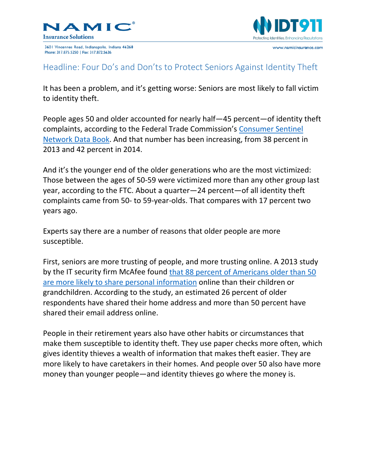

3601 Vincennes Road, Indianapolis, Indiana 46268 Phone: 317.875.5250 | Fax: 317.872.5636



## Headline: Four Do's and Don'ts to Protect Seniors Against Identity Theft

It has been a problem, and it's getting worse: Seniors are most likely to fall victim to identity theft.

People ages 50 and older accounted for nearly half—45 percent—of identity theft complaints, according to the Federal Trade Commission's [Consumer Sentinel](https://www.ftc.gov/system/files/documents/reports/consumer-sentinel-network-data-book-january-december-2015/160229csn-2015databook.pdf)  [Network Data Book.](https://www.ftc.gov/system/files/documents/reports/consumer-sentinel-network-data-book-january-december-2015/160229csn-2015databook.pdf) And that number has been increasing, from 38 percent in 2013 and 42 percent in 2014.

And it's the younger end of the older generations who are the most victimized: Those between the ages of 50-59 were victimized more than any other group last year, according to the FTC. About a quarter—24 percent—of all identity theft complaints came from 50- to 59-year-olds. That compares with 17 percent two years ago.

Experts say there are a number of reasons that older people are more susceptible.

First, seniors are more trusting of people, and more trusting online. A 2013 study by the IT security firm McAfee found [that 88 percent of Americans older than 50](http://idt911.com/education/blog/study-shows-seniors-are-more-vulnerable-to-identity-theft)  [are more likely to share personal information](http://idt911.com/education/blog/study-shows-seniors-are-more-vulnerable-to-identity-theft) online than their children or grandchildren. According to the study, an estimated 26 percent of older respondents have shared their home address and more than 50 percent have shared their email address online.

People in their retirement years also have other habits or circumstances that make them susceptible to identity theft. They use paper checks more often, which gives identity thieves a wealth of information that makes theft easier. They are more likely to have caretakers in their homes. And people over 50 also have more money than younger people—and identity thieves go where the money is.